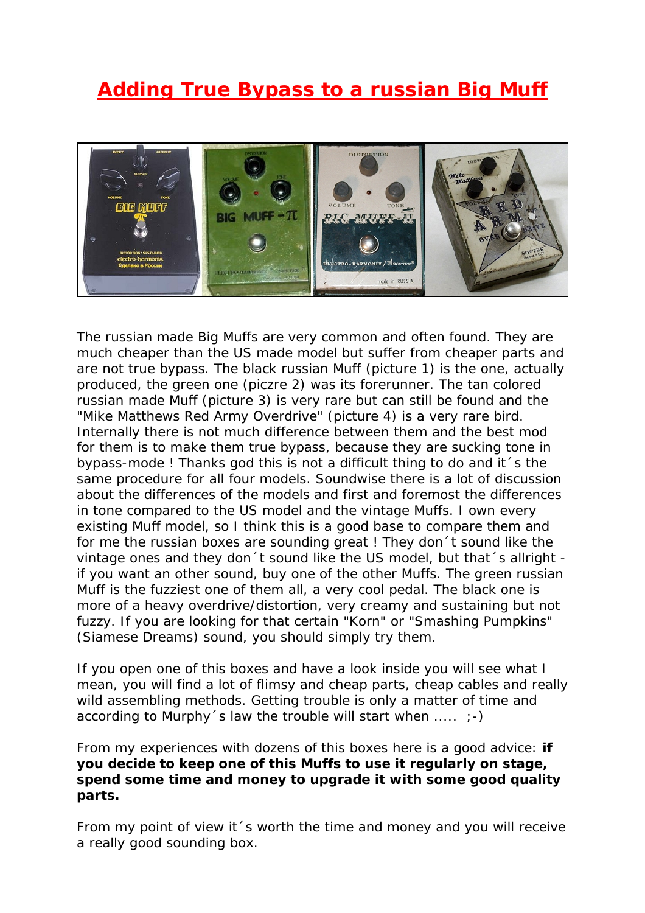## **Adding True Bypass to a russian Big Muff**



The russian made Big Muffs are very common and often found. They are much cheaper than the US made model but suffer from cheaper parts and are not true bypass. The black russian Muff (picture 1) is the one, actually produced, the green one (piczre 2) was its forerunner. The tan colored russian made Muff (picture 3) is very rare but can still be found and the "Mike Matthews Red Army Overdrive" (picture 4) is a very rare bird. Internally there is not much difference between them and the best mod for them is to make them true bypass, because they are sucking tone in bypass-mode ! Thanks god this is not a difficult thing to do and it´s the same procedure for all four models. Soundwise there is a lot of discussion about the differences of the models and first and foremost the differences in tone compared to the US model and the vintage Muffs. I own every existing Muff model, so I think this is a good base to compare them and for me the russian boxes are sounding great ! They don´t sound like the vintage ones and they don't sound like the US model, but that's allright if you want an other sound, buy one of the other Muffs. The green russian Muff is the fuzziest one of them all, a very cool pedal. The black one is more of a heavy overdrive/distortion, very creamy and sustaining but not fuzzy. If you are looking for that certain "Korn" or "Smashing Pumpkins" (Siamese Dreams) sound, you should simply try them.

If you open one of this boxes and have a look inside you will see what I mean, you will find a lot of flimsy and cheap parts, cheap cables and really wild assembling methods. Getting trouble is only a matter of time and according to Murphy's law the trouble will start when  $\dots$  ;-)

From my experiences with dozens of this boxes here is a good advice: *if you decide to keep one of this Muffs to use it regularly on stage, spend some time and money to upgrade it with some good quality parts.* 

From my point of view it´s worth the time and money and you will receive a really good sounding box.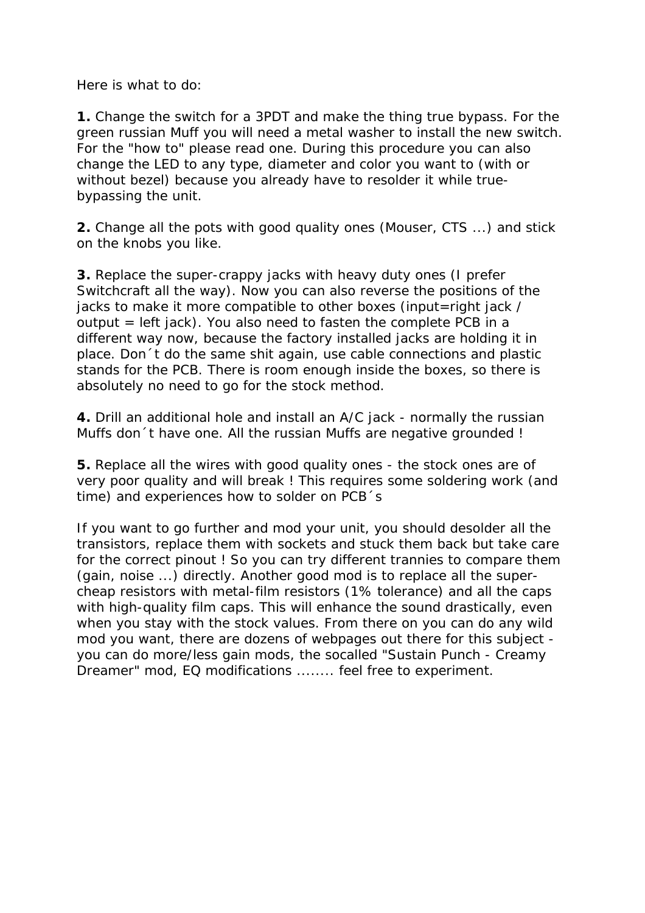Here is what to do:

**1.** Change the switch for a 3PDT and make the thing true bypass. For the green russian Muff you will need a metal washer to install the new switch. For the "how to" please read one. During this procedure you can also change the LED to any type, diameter and color you want to (with or without bezel) because you already have to resolder it while truebypassing the unit.

**2.** Change all the pots with good quality ones (Mouser, CTS ...) and stick on the knobs you like.

**3.** Replace the super-crappy jacks with heavy duty ones (I prefer Switchcraft all the way). Now you can also reverse the positions of the jacks to make it more compatible to other boxes (input=right jack / output = left jack). You also need to fasten the complete PCB in a different way now, because the factory installed jacks are holding it in place. Don´t do the same shit again, use cable connections and plastic stands for the PCB. There is room enough inside the boxes, so there is absolutely no need to go for the stock method.

**4.** Drill an additional hole and install an A/C jack - normally the russian Muffs don´t have one. All the russian Muffs are negative grounded !

**5.** Replace all the wires with good quality ones - the stock ones are of very poor quality and will break ! This requires some soldering work (and time) and experiences how to solder on PCB´s

If you want to go further and mod your unit, you should desolder all the transistors, replace them with sockets and stuck them back but take care for the correct pinout ! So you can try different trannies to compare them (gain, noise ...) directly. Another good mod is to replace all the supercheap resistors with metal-film resistors (1% tolerance) and all the caps with high-quality film caps. This will enhance the sound drastically, even when you stay with the stock values. From there on you can do any wild mod you want, there are dozens of webpages out there for this subject you can do more/less gain mods, the socalled "Sustain Punch - Creamy Dreamer" mod, EQ modifications ........ feel free to experiment.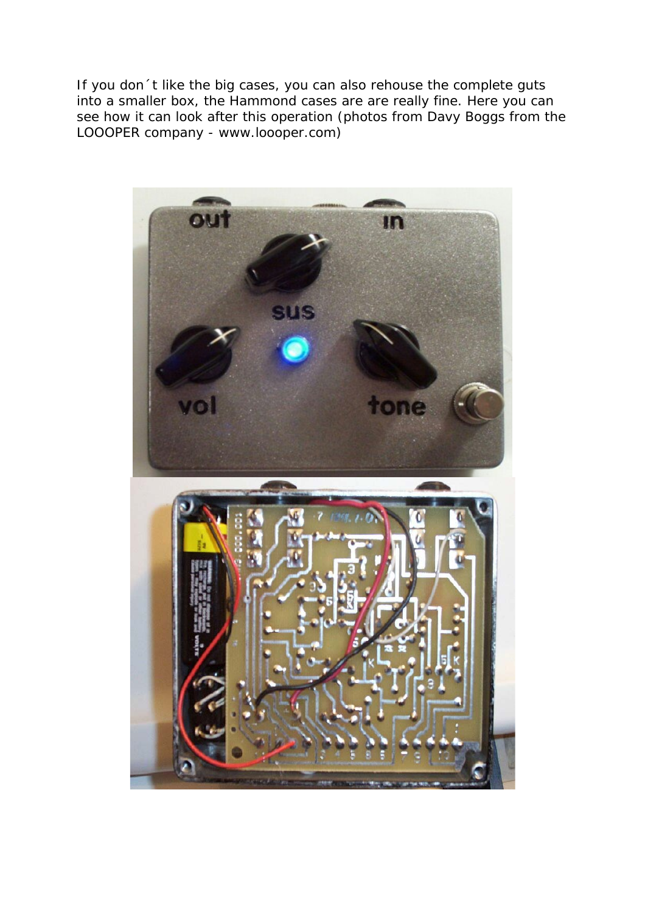If you don´t like the big cases, you can also rehouse the complete guts into a smaller box, the Hammond cases are are really fine. Here you can see how it can look after this operation (photos from Davy Boggs from the LOOOPER company - www.loooper.com)

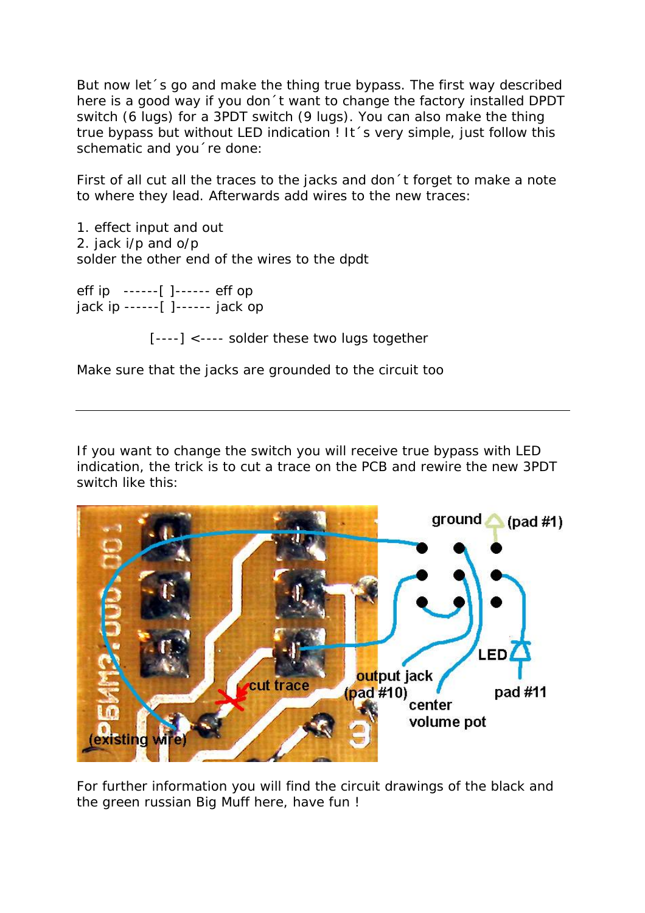But now let´s go and make the thing true bypass. The first way described here is a good way if you don´t want to change the factory installed DPDT switch (6 lugs) for a 3PDT switch (9 lugs). You can also make the thing true bypass but without LED indication ! It 's very simple, just follow this schematic and you´re done:

First of all cut all the traces to the jacks and don´t forget to make a note to where they lead. Afterwards add wires to the new traces:

1. effect input and out 2. jack i/p and o/p solder the other end of the wires to the dpdt

eff ip ------[ ]------ eff op jack ip ------[ ]------ jack op

[----] <---- solder these two lugs together

Make sure that the jacks are grounded to the circuit too

If you want to change the switch you will receive true bypass with LED indication, the trick is to cut a trace on the PCB and rewire the new 3PDT switch like this:



For further information you will find the circuit drawings of the black and the green russian Big Muff here, have fun !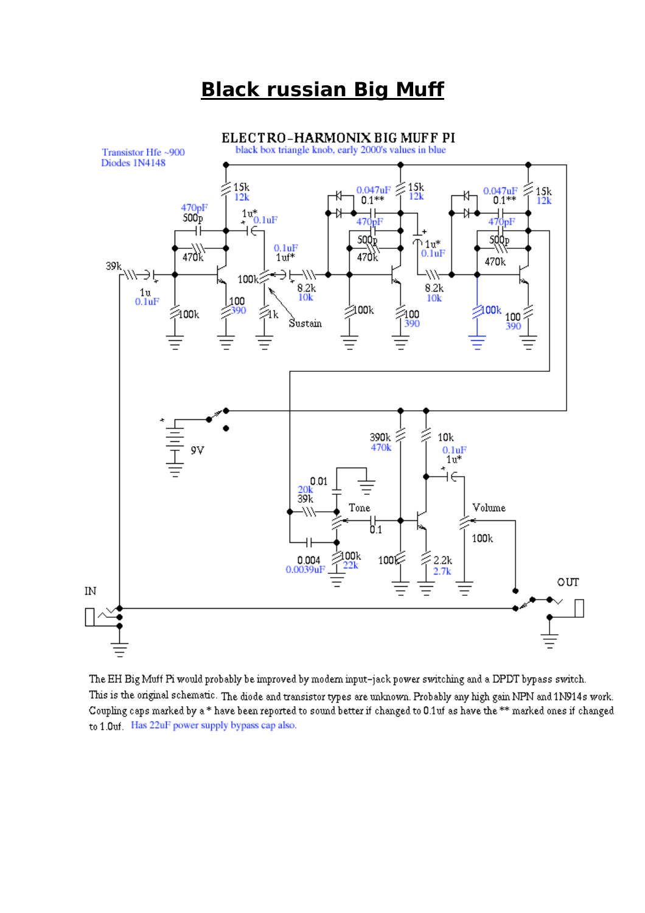## **Black russian Big Muff**



The EH Big Muff Pi would probably be improved by modern input-jack power switching and a DPDT bypass switch. This is the original schematic. The diode and transistor types are unknown. Probably any high gain NPN and 1N914s work. Coupling caps marked by a\* have been reported to sound better if changed to 0.1uf as have the \*\* marked ones if changed to 1.0uf Has 22uF power supply bypass cap also.